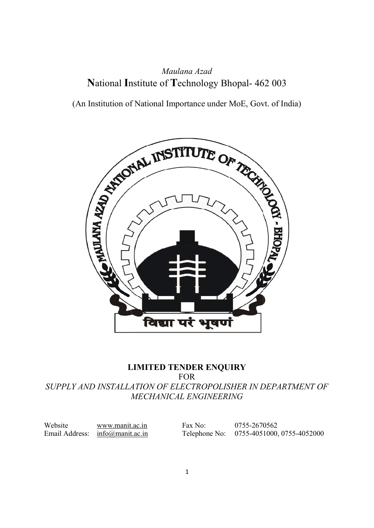## National Institute of Technology Bhopal- 462 003 462 003 Maulana Azad

(An Institution of National Importance under MoE, Govt. of India)



#### LIMITED TENDER ENQUIRY SUPPLY AND INSTALLATION INSTALLATION OF ELECTROPOLISHER IN DEPARTMENT OF DEPARTMENT OF MECHANICAL ENGINEERING FOR

Website www.manit.ac.in Email Address: info@manit.ac.in

Fax No: 0755-2670562 Telephone No: 0755-4051000, 0755-4052000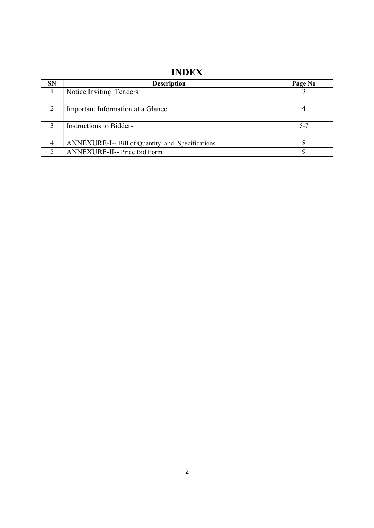## INDEX

| <b>SN</b> | <b>Description</b>                               | Page No |
|-----------|--------------------------------------------------|---------|
|           | Notice Inviting Tenders                          |         |
|           | Important Information at a Glance                |         |
|           | Instructions to Bidders                          | $5 - 7$ |
|           | ANNEXURE-I-- Bill of Quantity and Specifications |         |
|           | ANNEXURE-II-- Price Bid Form                     |         |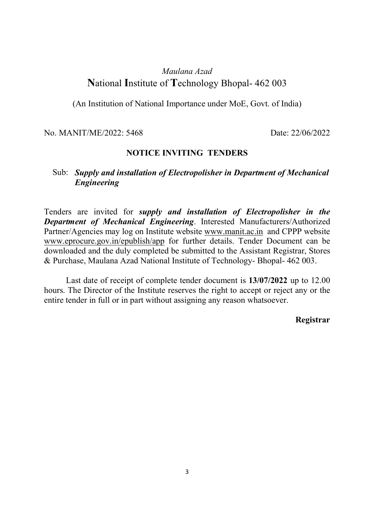### Maulana Azad National Institute of Technology Bhopal- 462 003

(An Institution of National Importance under MoE, Govt. of India)

No. MANIT/ME/2022: 5468 Date: 22/06/2022

#### NOTICE INVITING TENDERS

#### Sub: Supply and installation of Electropolisher in Department of Mechanical Engineering

Tenders are invited for supply and installation of Electropolisher in the Department of Mechanical Engineering. Interested Manufacturers/Authorized Partner/Agencies may log on Institute website www.manit.ac.in and CPPP website www.eprocure.gov.in/epublish/app for further details. Tender Document can be downloaded and the duly completed be submitted to the Assistant Registrar, Stores & Purchase, Maulana Azad National Institute of Technology- Bhopal- 462 003.

 Last date of receipt of complete tender document is 13/07/2022 up to 12.00 hours. The Director of the Institute reserves the right to accept or reject any or the entire tender in full or in part without assigning any reason whatsoever.

#### Registrar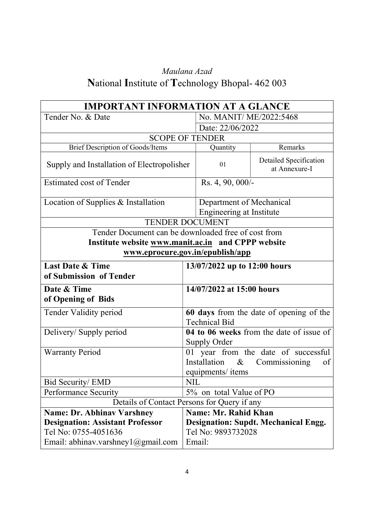# Maulana Azad National Institute of Technology Bhopal- 462 003

| <b>IMPORTANT INFORMATION AT A GLANCE</b>            |                                             |                                                                 |                                          |  |
|-----------------------------------------------------|---------------------------------------------|-----------------------------------------------------------------|------------------------------------------|--|
| Tender No. & Date                                   |                                             | No. MANIT/ME/2022:5468                                          |                                          |  |
|                                                     | Date: 22/06/2022                            |                                                                 |                                          |  |
| <b>SCOPE OF TENDER</b>                              |                                             |                                                                 |                                          |  |
| <b>Brief Description of Goods/Items</b>             |                                             | Quantity                                                        | Remarks                                  |  |
| Supply and Installation of Electropolisher          |                                             | 01                                                              | Detailed Specification<br>at Annexure-I  |  |
| <b>Estimated cost of Tender</b>                     |                                             | Rs. 4, 90, 000/-                                                |                                          |  |
| Location of Supplies & Installation                 |                                             | Department of Mechanical                                        |                                          |  |
|                                                     |                                             | Engineering at Institute                                        |                                          |  |
| <b>TENDER DOCUMENT</b>                              |                                             |                                                                 |                                          |  |
| Tender Document can be downloaded free of cost from |                                             |                                                                 |                                          |  |
| Institute website www.manit.ac.in and CPPP website  |                                             |                                                                 |                                          |  |
| www.eprocure.gov.in/epublish/app                    |                                             |                                                                 |                                          |  |
| <b>Last Date &amp; Time</b>                         |                                             | 13/07/2022 up to 12:00 hours                                    |                                          |  |
| of Submission of Tender                             |                                             |                                                                 |                                          |  |
| Date & Time                                         |                                             | 14/07/2022 at 15:00 hours                                       |                                          |  |
| of Opening of Bids                                  |                                             |                                                                 |                                          |  |
| Tender Validity period                              |                                             | 60 days from the date of opening of the<br><b>Technical Bid</b> |                                          |  |
| Delivery/Supply period                              |                                             |                                                                 | 04 to 06 weeks from the date of issue of |  |
|                                                     |                                             | Supply Order                                                    |                                          |  |
| <b>Warranty Period</b>                              |                                             | 01 year from the date of successful                             |                                          |  |
|                                                     | Installation<br>$\&$<br>Commissioning<br>of |                                                                 |                                          |  |
|                                                     |                                             | equipments/ items                                               |                                          |  |
| Bid Security/ EMD                                   |                                             | NIL                                                             |                                          |  |
| <b>Performance Security</b>                         |                                             | 5% on total Value of PO                                         |                                          |  |
|                                                     |                                             | Details of Contact Persons for Query if any                     |                                          |  |
| <b>Name: Dr. Abhinav Varshney</b>                   |                                             | <b>Name: Mr. Rahid Khan</b>                                     |                                          |  |
| <b>Designation: Assistant Professor</b>             |                                             | <b>Designation: Supdt. Mechanical Engg.</b>                     |                                          |  |
| Tel No: 0755-4051636                                |                                             | Tel No: 9893732028                                              |                                          |  |
| Email: abhinav.varshney $1$ @gmail.com              |                                             | Email:                                                          |                                          |  |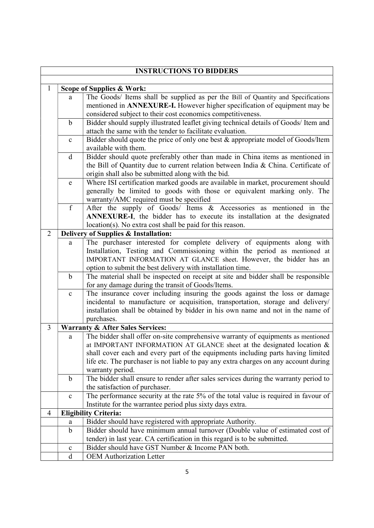|                | <b>INSTRUCTIONS TO BIDDERS</b> |                                                                                                                                                   |  |  |  |  |  |
|----------------|--------------------------------|---------------------------------------------------------------------------------------------------------------------------------------------------|--|--|--|--|--|
|                |                                |                                                                                                                                                   |  |  |  |  |  |
| 1              |                                | Scope of Supplies & Work:                                                                                                                         |  |  |  |  |  |
|                | a                              | The Goods/ Items shall be supplied as per the Bill of Quantity and Specifications                                                                 |  |  |  |  |  |
|                |                                | mentioned in ANNEXURE-I. However higher specification of equipment may be                                                                         |  |  |  |  |  |
|                |                                | considered subject to their cost economics competitiveness.                                                                                       |  |  |  |  |  |
|                | $\mathbf b$                    | Bidder should supply illustrated leaflet giving technical details of Goods/ Item and<br>attach the same with the tender to facilitate evaluation. |  |  |  |  |  |
|                |                                |                                                                                                                                                   |  |  |  |  |  |
|                |                                | Bidder should quote the price of only one best & appropriate model of Goods/Item<br>$\mathbf c$<br>available with them.                           |  |  |  |  |  |
|                | $\mathbf d$                    | Bidder should quote preferably other than made in China items as mentioned in                                                                     |  |  |  |  |  |
|                |                                | the Bill of Quantity due to current relation between India & China. Certificate of                                                                |  |  |  |  |  |
|                |                                | origin shall also be submitted along with the bid.                                                                                                |  |  |  |  |  |
|                | ${\bf e}$                      | Where ISI certification marked goods are available in market, procurement should                                                                  |  |  |  |  |  |
|                |                                | generally be limited to goods with those or equivalent marking only. The                                                                          |  |  |  |  |  |
|                |                                | warranty/AMC required must be specified                                                                                                           |  |  |  |  |  |
|                | $\overline{f}$                 | After the supply of Goods/ Items & Accessories as mentioned in the                                                                                |  |  |  |  |  |
|                |                                | ANNEXURE-I, the bidder has to execute its installation at the designated                                                                          |  |  |  |  |  |
|                |                                | location(s). No extra cost shall be paid for this reason.                                                                                         |  |  |  |  |  |
| $\overline{2}$ |                                | Delivery of Supplies & Installation:                                                                                                              |  |  |  |  |  |
|                | a                              | The purchaser interested for complete delivery of equipments along with                                                                           |  |  |  |  |  |
|                |                                | Installation, Testing and Commissioning within the period as mentioned at                                                                         |  |  |  |  |  |
|                |                                | IMPORTANT INFORMATION AT GLANCE sheet. However, the bidder has an                                                                                 |  |  |  |  |  |
|                |                                | option to submit the best delivery with installation time.                                                                                        |  |  |  |  |  |
|                | $\mathbf b$                    | The material shall be inspected on receipt at site and bidder shall be responsible                                                                |  |  |  |  |  |
|                |                                | for any damage during the transit of Goods/Items.                                                                                                 |  |  |  |  |  |
|                | $\mathbf c$                    | The insurance cover including insuring the goods against the loss or damage                                                                       |  |  |  |  |  |
|                |                                | incidental to manufacture or acquisition, transportation, storage and delivery/                                                                   |  |  |  |  |  |
|                |                                | installation shall be obtained by bidder in his own name and not in the name of                                                                   |  |  |  |  |  |
| 3              |                                | purchases.                                                                                                                                        |  |  |  |  |  |
|                |                                | <b>Warranty &amp; After Sales Services:</b><br>The bidder shall offer on-site comprehensive warranty of equipments as mentioned                   |  |  |  |  |  |
|                | a                              | at IMPORTANT INFORMATION AT GLANCE sheet at the designated location $\&$                                                                          |  |  |  |  |  |
|                |                                | shall cover each and every part of the equipments including parts having limited                                                                  |  |  |  |  |  |
|                |                                | life etc. The purchaser is not liable to pay any extra charges on any account during                                                              |  |  |  |  |  |
|                |                                | warranty period.                                                                                                                                  |  |  |  |  |  |
|                | $\mathbf b$                    | The bidder shall ensure to render after sales services during the warranty period to                                                              |  |  |  |  |  |
|                |                                | the satisfaction of purchaser.                                                                                                                    |  |  |  |  |  |
|                | $\mathbf c$                    | The performance security at the rate 5% of the total value is required in favour of                                                               |  |  |  |  |  |
|                |                                | Institute for the warrantee period plus sixty days extra.                                                                                         |  |  |  |  |  |
| 4              |                                | <b>Eligibility Criteria:</b>                                                                                                                      |  |  |  |  |  |
|                | a                              | Bidder should have registered with appropriate Authority.                                                                                         |  |  |  |  |  |
|                | $\mathbf b$                    | Bidder should have minimum annual turnover (Double value of estimated cost of                                                                     |  |  |  |  |  |
|                |                                | tender) in last year. CA certification in this regard is to be submitted.                                                                         |  |  |  |  |  |
|                | $\mathbf c$                    | Bidder should have GST Number & Income PAN both.                                                                                                  |  |  |  |  |  |
|                | $\mathbf d$                    | <b>OEM Authorization Letter</b>                                                                                                                   |  |  |  |  |  |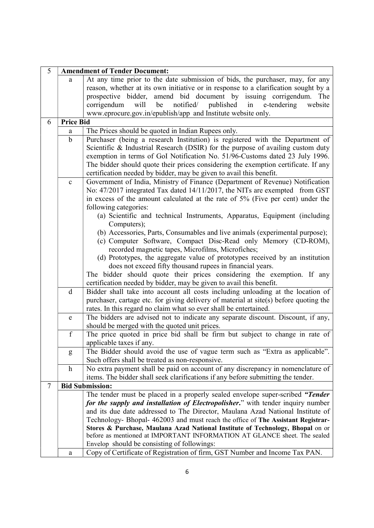| 5      | <b>Amendment of Tender Document:</b> |                                                                                                                                                            |  |  |  |  |
|--------|--------------------------------------|------------------------------------------------------------------------------------------------------------------------------------------------------------|--|--|--|--|
|        | a                                    | At any time prior to the date submission of bids, the purchaser, may, for any                                                                              |  |  |  |  |
|        |                                      | reason, whether at its own initiative or in response to a clarification sought by a                                                                        |  |  |  |  |
|        |                                      | prospective bidder, amend bid document by issuing corrigendum. The                                                                                         |  |  |  |  |
|        |                                      | will be<br>notified/ published<br>in<br>e-tendering<br>corrigendum<br>website                                                                              |  |  |  |  |
|        |                                      | www.eprocure.gov.in/epublish/app and Institute website only.                                                                                               |  |  |  |  |
| 6      | <b>Price Bid</b>                     |                                                                                                                                                            |  |  |  |  |
|        | a                                    | The Prices should be quoted in Indian Rupees only.                                                                                                         |  |  |  |  |
|        | $\mathbf b$                          | Purchaser (being a research Institution) is registered with the Department of                                                                              |  |  |  |  |
|        |                                      | Scientific & Industrial Research (DSIR) for the purpose of availing custom duty                                                                            |  |  |  |  |
|        |                                      | exemption in terms of GoI Notification No. 51/96-Customs dated 23 July 1996.                                                                               |  |  |  |  |
|        |                                      | The bidder should quote their prices considering the exemption certificate. If any                                                                         |  |  |  |  |
|        |                                      | certification needed by bidder, may be given to avail this benefit.                                                                                        |  |  |  |  |
|        | $\mathbf c$                          | Government of India, Ministry of Finance (Department of Revenue) Notification                                                                              |  |  |  |  |
|        |                                      | No: 47/2017 integrated Tax dated 14/11/2017, the NITs are exempted from GST                                                                                |  |  |  |  |
|        |                                      | in excess of the amount calculated at the rate of 5% (Five per cent) under the                                                                             |  |  |  |  |
|        |                                      | following categories:                                                                                                                                      |  |  |  |  |
|        |                                      | (a) Scientific and technical Instruments, Apparatus, Equipment (including                                                                                  |  |  |  |  |
|        |                                      | Computers);                                                                                                                                                |  |  |  |  |
|        |                                      | (b) Accessories, Parts, Consumables and live animals (experimental purpose);                                                                               |  |  |  |  |
|        |                                      | (c) Computer Software, Compact Disc-Read only Memory (CD-ROM),                                                                                             |  |  |  |  |
|        |                                      | recorded magnetic tapes, Microfilms, Microfiches;                                                                                                          |  |  |  |  |
|        |                                      |                                                                                                                                                            |  |  |  |  |
|        |                                      | (d) Prototypes, the aggregate value of prototypes received by an institution                                                                               |  |  |  |  |
|        |                                      | does not exceed fifty thousand rupees in financial years.                                                                                                  |  |  |  |  |
|        |                                      | The bidder should quote their prices considering the exemption. If any<br>certification needed by bidder, may be given to avail this benefit.              |  |  |  |  |
|        | $\mathbf d$                          | Bidder shall take into account all costs including unloading at the location of                                                                            |  |  |  |  |
|        |                                      |                                                                                                                                                            |  |  |  |  |
|        |                                      | purchaser, cartage etc. for giving delivery of material at site(s) before quoting the<br>rates. In this regard no claim what so ever shall be entertained. |  |  |  |  |
|        | e                                    | The bidders are advised not to indicate any separate discount. Discount, if any,                                                                           |  |  |  |  |
|        |                                      | should be merged with the quoted unit prices.                                                                                                              |  |  |  |  |
|        | $\overline{f}$                       | The price quoted in price bid shall be firm but subject to change in rate of                                                                               |  |  |  |  |
|        |                                      | applicable taxes if any.                                                                                                                                   |  |  |  |  |
|        | g                                    | The Bidder should avoid the use of vague term such as "Extra as applicable".                                                                               |  |  |  |  |
|        |                                      | Such offers shall be treated as non-responsive.                                                                                                            |  |  |  |  |
|        | $\mathbf{h}$                         | No extra payment shall be paid on account of any discrepancy in nomenclature of                                                                            |  |  |  |  |
|        |                                      | items. The bidder shall seek clarifications if any before submitting the tender.                                                                           |  |  |  |  |
| $\tau$ |                                      | <b>Bid Submission:</b>                                                                                                                                     |  |  |  |  |
|        |                                      | The tender must be placed in a properly sealed envelope super-scribed "Tender"                                                                             |  |  |  |  |
|        |                                      | for the supply and installation of Electropolisher." with tender inquiry number                                                                            |  |  |  |  |
|        |                                      | and its due date addressed to The Director, Maulana Azad National Institute of                                                                             |  |  |  |  |
|        |                                      | Technology- Bhopal- 462003 and must reach the office of The Assistant Registrar-                                                                           |  |  |  |  |
|        |                                      | Stores & Purchase, Maulana Azad National Institute of Technology, Bhopal on or                                                                             |  |  |  |  |
|        |                                      | before as mentioned at IMPORTANT INFORMATION AT GLANCE sheet. The sealed                                                                                   |  |  |  |  |
|        |                                      | Envelop should be consisting of followings:                                                                                                                |  |  |  |  |
|        | a                                    | Copy of Certificate of Registration of firm, GST Number and Income Tax PAN.                                                                                |  |  |  |  |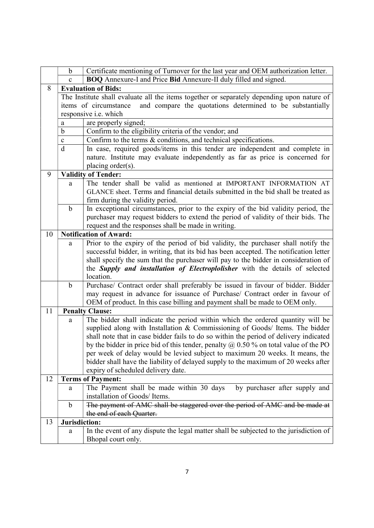|    | b             | Certificate mentioning of Turnover for the last year and OEM authorization letter.                                                                                 |  |  |  |  |  |
|----|---------------|--------------------------------------------------------------------------------------------------------------------------------------------------------------------|--|--|--|--|--|
|    | $\mathbf{c}$  | BOQ Annexure-I and Price Bid Annexure-II duly filled and signed.                                                                                                   |  |  |  |  |  |
| 8  |               | <b>Evaluation of Bids:</b>                                                                                                                                         |  |  |  |  |  |
|    |               | The Institute shall evaluate all the items together or separately depending upon nature of                                                                         |  |  |  |  |  |
|    |               | and compare the quotations determined to be substantially<br>items of circumstance                                                                                 |  |  |  |  |  |
|    |               | responsive <i>i.e.</i> which                                                                                                                                       |  |  |  |  |  |
|    | a             | are properly signed;                                                                                                                                               |  |  |  |  |  |
|    | b             | Confirm to the eligibility criteria of the vendor; and                                                                                                             |  |  |  |  |  |
|    | $\mathbf c$   | Confirm to the terms & conditions, and technical specifications.                                                                                                   |  |  |  |  |  |
|    | $\mathbf{d}$  | In case, required goods/items in this tender are independent and complete in                                                                                       |  |  |  |  |  |
|    |               | nature. Institute may evaluate independently as far as price is concerned for                                                                                      |  |  |  |  |  |
|    |               | placing order(s).                                                                                                                                                  |  |  |  |  |  |
| 9  |               | <b>Validity of Tender:</b>                                                                                                                                         |  |  |  |  |  |
|    | a             | The tender shall be valid as mentioned at IMPORTANT INFORMATION AT                                                                                                 |  |  |  |  |  |
|    |               | GLANCE sheet. Terms and financial details submitted in the bid shall be treated as                                                                                 |  |  |  |  |  |
|    |               | firm during the validity period.                                                                                                                                   |  |  |  |  |  |
|    | $\mathbf b$   | In exceptional circumstances, prior to the expiry of the bid validity period, the                                                                                  |  |  |  |  |  |
|    |               | purchaser may request bidders to extend the period of validity of their bids. The                                                                                  |  |  |  |  |  |
|    |               | request and the responses shall be made in writing.                                                                                                                |  |  |  |  |  |
| 10 |               | <b>Notification of Award:</b>                                                                                                                                      |  |  |  |  |  |
|    | a             | Prior to the expiry of the period of bid validity, the purchaser shall notify the                                                                                  |  |  |  |  |  |
|    |               | successful bidder, in writing, that its bid has been accepted. The notification letter                                                                             |  |  |  |  |  |
|    |               | shall specify the sum that the purchaser will pay to the bidder in consideration of                                                                                |  |  |  |  |  |
|    |               | the Supply and installation of Electroplolisher with the details of selected                                                                                       |  |  |  |  |  |
|    |               | location.                                                                                                                                                          |  |  |  |  |  |
|    | $\mathbf b$   | Purchase/ Contract order shall preferably be issued in favour of bidder. Bidder                                                                                    |  |  |  |  |  |
|    |               | may request in advance for issuance of Purchase/ Contract order in favour of                                                                                       |  |  |  |  |  |
|    |               | OEM of product. In this case billing and payment shall be made to OEM only.                                                                                        |  |  |  |  |  |
| 11 |               | <b>Penalty Clause:</b>                                                                                                                                             |  |  |  |  |  |
|    | a             | The bidder shall indicate the period within which the ordered quantity will be                                                                                     |  |  |  |  |  |
|    |               | supplied along with Installation & Commissioning of Goods/ Items. The bidder                                                                                       |  |  |  |  |  |
|    |               | shall note that in case bidder fails to do so within the period of delivery indicated                                                                              |  |  |  |  |  |
|    |               | by the bidder in price bid of this tender, penalty $\omega$ 0.50 % on total value of the PO                                                                        |  |  |  |  |  |
|    |               | per week of delay would be levied subject to maximum 20 weeks. It means, the<br>bidder shall have the liability of delayed supply to the maximum of 20 weeks after |  |  |  |  |  |
|    |               | expiry of scheduled delivery date.                                                                                                                                 |  |  |  |  |  |
| 12 |               | <b>Terms of Payment:</b>                                                                                                                                           |  |  |  |  |  |
|    |               | The Payment shall be made within 30 days<br>by purchaser after supply and                                                                                          |  |  |  |  |  |
|    | a             | installation of Goods/ Items.                                                                                                                                      |  |  |  |  |  |
|    | $\mathbf b$   | The payment of AMC shall be staggered over the period of AMC and be made at                                                                                        |  |  |  |  |  |
|    |               | the end of each Quarter.                                                                                                                                           |  |  |  |  |  |
| 13 | Jurisdiction: |                                                                                                                                                                    |  |  |  |  |  |
|    | a             | In the event of any dispute the legal matter shall be subjected to the jurisdiction of                                                                             |  |  |  |  |  |
|    |               | Bhopal court only.                                                                                                                                                 |  |  |  |  |  |
|    |               |                                                                                                                                                                    |  |  |  |  |  |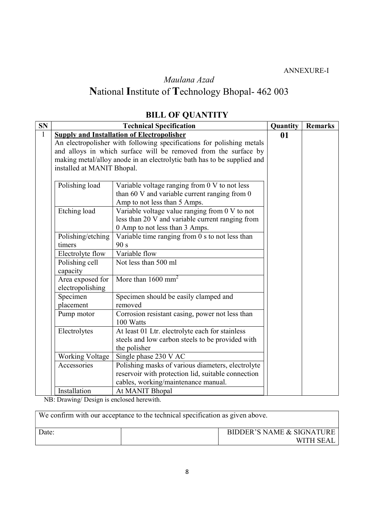ANNEXURE-I

## Maulana Azad National Institute of Technology Bhopal- 462 003

# BILL OF QUANTITY

| SN           |                                                   | Quantity                                                                | <b>Remarks</b> |  |  |  |
|--------------|---------------------------------------------------|-------------------------------------------------------------------------|----------------|--|--|--|
| $\mathbf{1}$ | <b>Supply and Installation of Electropolisher</b> | 01                                                                      |                |  |  |  |
|              |                                                   | An electropolisher with following specifications for polishing metals   |                |  |  |  |
|              |                                                   | and alloys in which surface will be removed from the surface by         |                |  |  |  |
|              |                                                   | making metal/alloy anode in an electrolytic bath has to be supplied and |                |  |  |  |
|              | installed at MANIT Bhopal.                        |                                                                         |                |  |  |  |
|              |                                                   |                                                                         |                |  |  |  |
|              | Polishing load                                    | Variable voltage ranging from $0 \vee$ to not less                      |                |  |  |  |
|              |                                                   | than 60 V and variable current ranging from 0                           |                |  |  |  |
|              |                                                   | Amp to not less than 5 Amps.                                            |                |  |  |  |
|              | Etching load                                      | Variable voltage value ranging from 0 V to not                          |                |  |  |  |
|              |                                                   | less than 20 V and variable current ranging from                        |                |  |  |  |
|              |                                                   | 0 Amp to not less than 3 Amps.                                          |                |  |  |  |
|              | Polishing/etching                                 | Variable time ranging from $0$ s to not less than                       |                |  |  |  |
|              | timers                                            | 90 s                                                                    |                |  |  |  |
|              | Electrolyte flow                                  | Variable flow                                                           |                |  |  |  |
|              | Polishing cell                                    | Not less than 500 ml                                                    |                |  |  |  |
|              | capacity                                          |                                                                         |                |  |  |  |
|              | Area exposed for                                  | More than $1600 \text{ mm}^2$                                           |                |  |  |  |
|              | electropolishing                                  |                                                                         |                |  |  |  |
|              | Specimen                                          | Specimen should be easily clamped and                                   |                |  |  |  |
|              | placement                                         | removed                                                                 |                |  |  |  |
|              | Pump motor                                        | Corrosion resistant casing, power not less than                         |                |  |  |  |
|              |                                                   | 100 Watts                                                               |                |  |  |  |
|              | Electrolytes                                      | At least 01 Ltr. electrolyte each for stainless                         |                |  |  |  |
|              |                                                   | steels and low carbon steels to be provided with                        |                |  |  |  |
|              | the polisher                                      |                                                                         |                |  |  |  |
|              | <b>Working Voltage</b>                            | Single phase 230 V AC                                                   |                |  |  |  |
|              | Accessories                                       | Polishing masks of various diameters, electrolyte                       |                |  |  |  |
|              |                                                   | reservoir with protection lid, suitable connection                      |                |  |  |  |
|              |                                                   | cables, working/maintenance manual.                                     |                |  |  |  |
|              | Installation                                      | At MANIT Bhopal                                                         |                |  |  |  |

NB: Drawing/ Design is enclosed herewith.

| We confirm with our acceptance to the technical specification as given above. |                                        |  |  |  |  |  |
|-------------------------------------------------------------------------------|----------------------------------------|--|--|--|--|--|
| Date:                                                                         | BIDDER'S NAME & SIGNATURE<br>WITH SEAL |  |  |  |  |  |